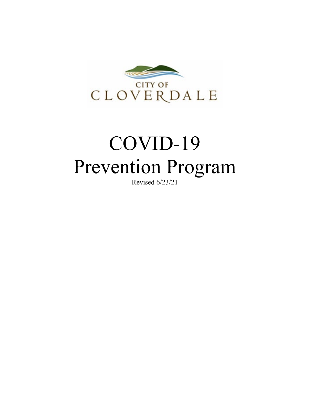

# COVID-19 Prevention Program

Revised 6/23/21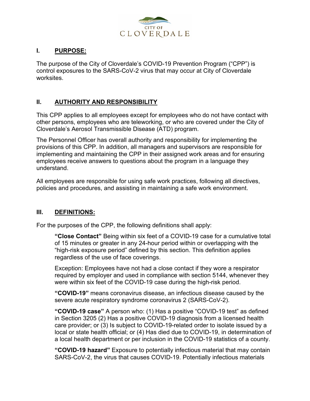

#### **I. PURPOSE:**

The purpose of the City of Cloverdale's COVID-19 Prevention Program ("CPP") is control exposures to the SARS-CoV-2 virus that may occur at City of Cloverdale worksites.

## **II. AUTHORITY AND RESPONSIBILITY**

This CPP applies to all employees except for employees who do not have contact with other persons, employees who are teleworking, or who are covered under the City of Cloverdale's Aerosol Transmissible Disease (ATD) program.

The Personnel Officer has overall authority and responsibility for implementing the provisions of this CPP. In addition, all managers and supervisors are responsible for implementing and maintaining the CPP in their assigned work areas and for ensuring employees receive answers to questions about the program in a language they understand.

All employees are responsible for using safe work practices, following all directives, policies and procedures, and assisting in maintaining a safe work environment.

## **III. DEFINITIONS:**

For the purposes of the CPP, the following definitions shall apply:

**"Close Contact"** Being within six feet of a COVID-19 case for a cumulative total of 15 minutes or greater in any 24-hour period within or overlapping with the "high-risk exposure period" defined by this section. This definition applies regardless of the use of face coverings.

Exception: Employees have not had a close contact if they wore a respirator required by employer and used in compliance with section 5144, whenever they were within six feet of the COVID-19 case during the high-risk period.

**"COVID-19"** means coronavirus disease, an infectious disease caused by the severe acute respiratory syndrome coronavirus 2 (SARS-CoV-2).

**"COVID-19 case"** A person who: (1) Has a positive "COVID-19 test" as defined in Section 3205 (2) Has a positive COVID-19 diagnosis from a licensed health care provider; or (3) Is subject to COVID-19-related order to isolate issued by a local or state health official; or (4) Has died due to COVID-19, in determination of a local health department or per inclusion in the COVID-19 statistics of a county.

**"COVID-19 hazard"** Exposure to potentially infectious material that may contain SARS-CoV-2, the virus that causes COVID-19. Potentially infectious materials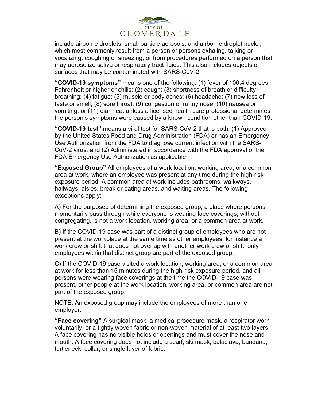

include airborne droplets, small particle aerosols, and airborne droplet nuclei, which most commonly result from a person or persons exhaling, talking or vocalizing, coughing or sneezing, or from procedures performed on a person that may aerosolize saliva or respiratory tract fluids. This also includes objects or surfaces that may be contaminated with SARS-CoV-2.

**"COVID-19 symptoms"** means one of the following: (1) fever of 100.4 degrees Fahrenheit or higher or chills; (2) cough; (3) shortness of breath or difficulty breathing; (4) fatigue; (5) muscle or body aches; (6) headache; (7) new loss of taste or smell; (8) sore throat; (9) congestion or runny nose; (10) nausea or vomiting; or (11) diarrhea, unless a licensed health care professional determines the person's symptoms were caused by a known condition other than COVID-19.

**"COVID-19 test"** means a viral test for SARS-CoV-2 that is both: (1) Approved by the United States Food and Drug Administration (FDA) or has an Emergency Use Authorization from the FDA to diagnose current infection with the SARS-CoV-2 virus; and (2) Administered in accordance with the FDA approval or the FDA Emergency Use Authorization as applicable.

**"Exposed Group"** All employees at a work location, working area, or a common area at work, where an employee was present at any time during the high-risk exposure period. A common area at work includes bathrooms, walkways, hallways, aisles, break or eating areas, and waiting areas. The following exceptions apply;

A) For the purposed of determining the exposed group, a place where persons momentarily pass through while everyone is wearing face coverings, without congregating, is not a work location, working area, or a common area at work.

B) If the COVID-19 case was part of a distinct group of employees who are not present at the workplace at the same time as other employees, for instance a work crew or shift that does not overlap with another work crew or shift, only employees within that distinct group are part of the exposed group.

C) If the COVID-19 case visited a work location, working area, or a common area at work for less than 15 minutes during the high-risk exposure period, and all persons were wearing face coverings at the time the COVID-19 case was present, other people at the work location, working area, or common area are not part of the exposed group.

NOTE: An exposed group may include the employees of more than one employer.

**"Face covering"** A surgical mask, a medical procedure mask, a respirator worn voluntarily, or a tightly woven fabric or non-woven material of at least two layers. A face covering has no visible holes or openings and must cover the nose and mouth. A face covering does not include a scarf, ski mask, balaclava, bandana, turtleneck, collar, or single layer of fabric.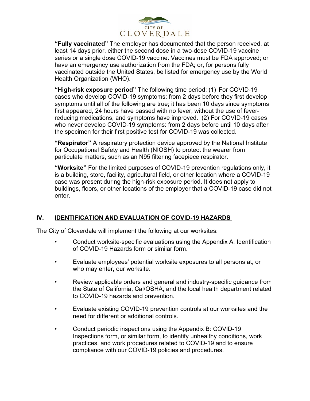

**"Fully vaccinated"** The employer has documented that the person received, at least 14 days prior, either the second dose in a two-dose COVID-19 vaccine series or a single dose COVID-19 vaccine. Vaccines must be FDA approved; or have an emergency use authorization from the FDA; or, for persons fully vaccinated outside the United States, be listed for emergency use by the World Health Organization (WHO).

**"High-risk exposure period"** The following time period: (1) For COVID-19 cases who develop COVID-19 symptoms: from 2 days before they first develop symptoms until all of the following are true; it has been 10 days since symptoms first appeared, 24 hours have passed with no fever, without the use of feverreducing medications, and symptoms have improved. (2) For COVID-19 cases who never develop COVID-19 symptoms: from 2 days before until 10 days after the specimen for their first positive test for COVID-19 was collected.

**"Respirator"** A respiratory protection device approved by the National Institute for Occupational Safety and Health (NIOSH) to protect the wearer from particulate matters, such as an N95 filtering facepiece respirator.

**"Worksite"** For the limited purposes of COVID-19 prevention regulations only, it is a building, store, facility, agricultural field, or other location where a COVID-19 case was present during the high-risk exposure period. It does not apply to buildings, floors, or other locations of the employer that a COVID-19 case did not enter.

## **IV. IDENTIFICATION AND EVALUATION OF COVID-19 HAZARDS**

The City of Cloverdale will implement the following at our worksites:

- Conduct worksite-specific evaluations using the Appendix A: Identification of COVID-19 Hazards form or similar form.
- Evaluate employees' potential worksite exposures to all persons at, or who may enter, our worksite.
- Review applicable orders and general and industry-specific guidance from the State of California, Cal/OSHA, and the local health department related to COVID-19 hazards and prevention.
- Evaluate existing COVID-19 prevention controls at our worksites and the need for different or additional controls.
- Conduct periodic inspections using the Appendix B: COVID-19 Inspections form, or similar form, to identify unhealthy conditions, work practices, and work procedures related to COVID-19 and to ensure compliance with our COVID-19 policies and procedures.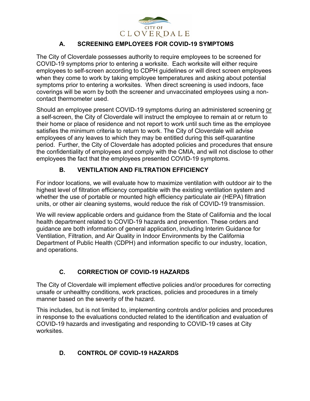

# **A. SCREENING EMPLOYEES FOR COVID-19 SYMPTOMS**

The City of Cloverdale possesses authority to require employees to be screened for COVID-19 symptoms prior to entering a worksite. Each worksite will either require employees to self-screen according to CDPH guidelines or will direct screen employees when they come to work by taking employee temperatures and asking about potential symptoms prior to entering a worksites. When direct screening is used indoors, face coverings will be worn by both the screener and unvaccinated employees using a noncontact thermometer used.

Should an employee present COVID-19 symptoms during an administered screening or a self-screen, the City of Cloverdale will instruct the employee to remain at or return to their home or place of residence and not report to work until such time as the employee satisfies the minimum criteria to return to work. The City of Cloverdale will advise employees of any leaves to which they may be entitled during this self-quarantine period. Further, the City of Cloverdale has adopted policies and procedures that ensure the confidentiality of employees and comply with the CMIA, and will not disclose to other employees the fact that the employees presented COVID-19 symptoms.

# **B. VENTILATION AND FILTRATION EFFICIENCY**

For indoor locations, we will evaluate how to maximize ventilation with outdoor air to the highest level of filtration efficiency compatible with the existing ventilation system and whether the use of portable or mounted high efficiency particulate air (HEPA) filtration units, or other air cleaning systems, would reduce the risk of COVID-19 transmission.

We will review applicable orders and guidance from the State of California and the local health department related to COVID-19 hazards and prevention. These orders and guidance are both information of general application, including Interim Guidance for Ventilation, Filtration, and Air Quality in Indoor Environments by the California Department of Public Health (CDPH) and information specific to our industry, location, and operations.

# **C. CORRECTION OF COVID-19 HAZARDS**

The City of Cloverdale will implement effective policies and/or procedures for correcting unsafe or unhealthy conditions, work practices, policies and procedures in a timely manner based on the severity of the hazard.

This includes, but is not limited to, implementing controls and/or policies and procedures in response to the evaluations conducted related to the identification and evaluation of COVID-19 hazards and investigating and responding to COVID-19 cases at City worksites.

# **D. CONTROL OF COVID-19 HAZARDS**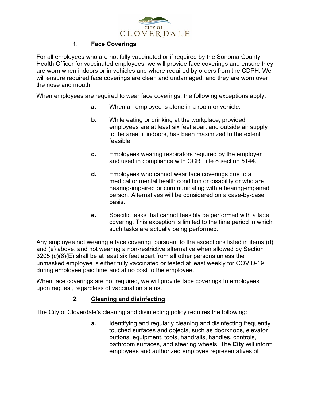

## **1. Face Coverings**

For all employees who are not fully vaccinated or if required by the Sonoma County Health Officer for vaccinated employees, we will provide face coverings and ensure they are worn when indoors or in vehicles and where required by orders from the CDPH. We will ensure required face coverings are clean and undamaged, and they are worn over the nose and mouth.

When employees are required to wear face coverings, the following exceptions apply:

- **a.** When an employee is alone in a room or vehicle.
- **b.** While eating or drinking at the workplace, provided employees are at least six feet apart and outside air supply to the area, if indoors, has been maximized to the extent feasible.
- **c.** Employees wearing respirators required by the employer and used in compliance with CCR Title 8 section 5144.
- **d.** Employees who cannot wear face coverings due to a medical or mental health condition or disability or who are hearing-impaired or communicating with a hearing-impaired person. Alternatives will be considered on a case-by-case basis.
- **e.** Specific tasks that cannot feasibly be performed with a face covering. This exception is limited to the time period in which such tasks are actually being performed.

Any employee not wearing a face covering, pursuant to the exceptions listed in items (d) and (e) above, and not wearing a non-restrictive alternative when allowed by Section 3205 (c)(6)(E) shall be at least six feet apart from all other persons unless the unmasked employee is either fully vaccinated or tested at least weekly for COVID-19 during employee paid time and at no cost to the employee.

When face coverings are not required, we will provide face coverings to employees upon request, regardless of vaccination status.

## **2. Cleaning and disinfecting**

The City of Cloverdale's cleaning and disinfecting policy requires the following:

**a.** Identifying and regularly cleaning and disinfecting frequently touched surfaces and objects, such as doorknobs, elevator buttons, equipment, tools, handrails, handles, controls, bathroom surfaces, and steering wheels. The **City** will inform employees and authorized employee representatives of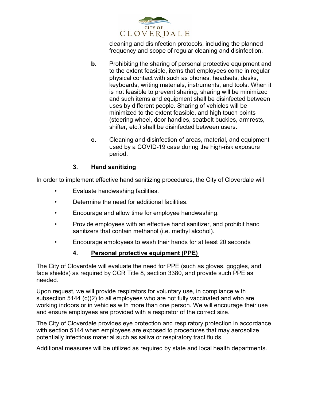

cleaning and disinfection protocols, including the planned frequency and scope of regular cleaning and disinfection.

- **b.** Prohibiting the sharing of personal protective equipment and to the extent feasible, items that employees come in regular physical contact with such as phones, headsets, desks, keyboards, writing materials, instruments, and tools. When it is not feasible to prevent sharing, sharing will be minimized and such items and equipment shall be disinfected between uses by different people. Sharing of vehicles will be minimized to the extent feasible, and high touch points (steering wheel, door handles, seatbelt buckles, armrests, shifter, etc.) shall be disinfected between users.
- **c.** Cleaning and disinfection of areas, material, and equipment used by a COVID-19 case during the high-risk exposure period.

## **3. Hand sanitizing**

In order to implement effective hand sanitizing procedures, the City of Cloverdale will

- Evaluate handwashing facilities.
- Determine the need for additional facilities.
- Encourage and allow time for employee handwashing.
- Provide employees with an effective hand sanitizer, and prohibit hand sanitizers that contain methanol (i.e. methyl alcohol).
- Encourage employees to wash their hands for at least 20 seconds

## **4. Personal protective equipment (PPE)**

The City of Cloverdale will evaluate the need for PPE (such as gloves, goggles, and face shields) as required by CCR Title 8, section 3380, and provide such PPE as needed.

Upon request, we will provide respirators for voluntary use, in compliance with subsection 5144 (c)(2) to all employees who are not fully vaccinated and who are working indoors or in vehicles with more than one person. We will encourage their use and ensure employees are provided with a respirator of the correct size.

The City of Cloverdale provides eye protection and respiratory protection in accordance with section 5144 when employees are exposed to procedures that may aerosolize potentially infectious material such as saliva or respiratory tract fluids.

Additional measures will be utilized as required by state and local health departments.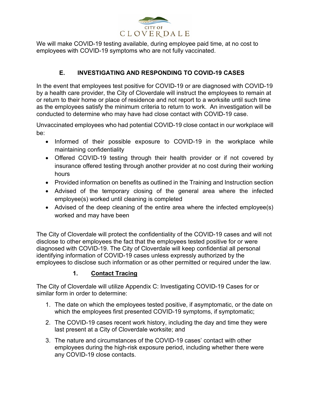

We will make COVID-19 testing available, during employee paid time, at no cost to employees with COVID-19 symptoms who are not fully vaccinated.

## **E. INVESTIGATING AND RESPONDING TO COVID-19 CASES**

In the event that employees test positive for COVID-19 or are diagnosed with COVID-19 by a health care provider, the City of Cloverdale will instruct the employees to remain at or return to their home or place of residence and not report to a worksite until such time as the employees satisfy the minimum criteria to return to work. An investigation will be conducted to determine who may have had close contact with COVID-19 case.

Unvaccinated employees who had potential COVID-19 close contact in our workplace will be:

- Informed of their possible exposure to COVID-19 in the workplace while maintaining confidentiality
- Offered COVID-19 testing through their health provider or if not covered by insurance offered testing through another provider at no cost during their working hours
- Provided information on benefits as outlined in the Training and Instruction section
- Advised of the temporary closing of the general area where the infected employee(s) worked until cleaning is completed
- Advised of the deep cleaning of the entire area where the infected employee(s) worked and may have been

The City of Cloverdale will protect the confidentiality of the COVID-19 cases and will not disclose to other employees the fact that the employees tested positive for or were diagnosed with COVID-19. The City of Cloverdale will keep confidential all personal identifying information of COVID-19 cases unless expressly authorized by the employees to disclose such information or as other permitted or required under the law.

# **1. Contact Tracing**

The City of Cloverdale will utilize Appendix C: Investigating COVID-19 Cases for or similar form in order to determine:

- 1. The date on which the employees tested positive, if asymptomatic, or the date on which the employees first presented COVID-19 symptoms, if symptomatic;
- 2. The COVID-19 cases recent work history, including the day and time they were last present at a City of Cloverdale worksite; and
- 3. The nature and circumstances of the COVID-19 cases' contact with other employees during the high-risk exposure period, including whether there were any COVID-19 close contacts.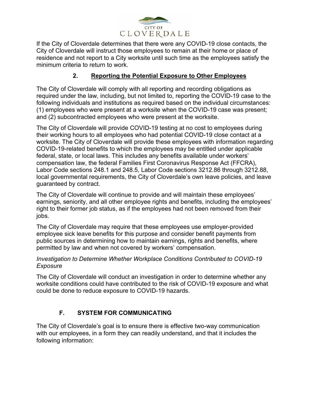

If the City of Cloverdale determines that there were any COVID-19 close contacts, the City of Cloverdale will instruct those employees to remain at their home or place of residence and not report to a City worksite until such time as the employees satisfy the minimum criteria to return to work.

#### **2. Reporting the Potential Exposure to Other Employees**

The City of Cloverdale will comply with all reporting and recording obligations as required under the law, including, but not limited to, reporting the COVID-19 case to the following individuals and institutions as required based on the individual circumstances: (1) employees who were present at a worksite when the COVID-19 case was present; and (2) subcontracted employees who were present at the worksite.

The City of Cloverdale will provide COVID-19 testing at no cost to employees during their working hours to all employees who had potential COVID-19 close contact at a worksite. The City of Cloverdale will provide these employees with information regarding COVID-19-related benefits to which the employees may be entitled under applicable federal, state, or local laws. This includes any benefits available under workers' compensation law, the federal Families First Coronavirus Response Act (FFCRA), Labor Code sections 248.1 and 248.5, Labor Code sections 3212.86 through 3212.88, local governmental requirements, the City of Cloverdale's own leave policies, and leave guaranteed by contract.

The City of Cloverdale will continue to provide and will maintain these employees' earnings, seniority, and all other employee rights and benefits, including the employees' right to their former job status, as if the employees had not been removed from their jobs.

The City of Cloverdale may require that these employees use employer-provided employee sick leave benefits for this purpose and consider benefit payments from public sources in determining how to maintain earnings, rights and benefits, where permitted by law and when not covered by workers' compensation.

#### *Investigation to Determine Whether Workplace Conditions Contributed to COVID-19 Exposure*

The City of Cloverdale will conduct an investigation in order to determine whether any worksite conditions could have contributed to the risk of COVID-19 exposure and what could be done to reduce exposure to COVID-19 hazards.

# **F. SYSTEM FOR COMMUNICATING**

The City of Cloverdale's goal is to ensure there is effective two-way communication with our employees, in a form they can readily understand, and that it includes the following information: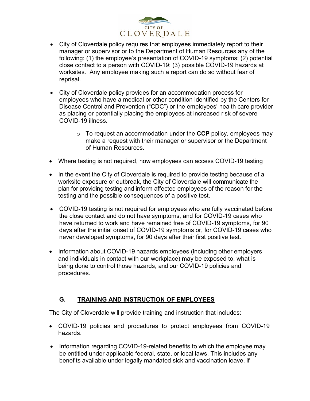

- City of Cloverdale policy requires that employees immediately report to their manager or supervisor or to the Department of Human Resources any of the following: (1) the employee's presentation of COVID-19 symptoms; (2) potential close contact to a person with COVID-19; (3) possible COVID-19 hazards at worksites. Any employee making such a report can do so without fear of reprisal.
- City of Cloverdale policy provides for an accommodation process for employees who have a medical or other condition identified by the Centers for Disease Control and Prevention ("CDC") or the employees' health care provider as placing or potentially placing the employees at increased risk of severe COVID-19 illness.
	- o To request an accommodation under the **CCP** policy, employees may make a request with their manager or supervisor or the Department of Human Resources.
- Where testing is not required, how employees can access COVID-19 testing
- In the event the City of Cloverdale is required to provide testing because of a worksite exposure or outbreak, the City of Cloverdale will communicate the plan for providing testing and inform affected employees of the reason for the testing and the possible consequences of a positive test.
- COVID-19 testing is not required for employees who are fully vaccinated before the close contact and do not have symptoms, and for COVID-19 cases who have returned to work and have remained free of COVID-19 symptoms, for 90 days after the initial onset of COVID-19 symptoms or, for COVID-19 cases who never developed symptoms, for 90 days after their first positive test.
- Information about COVID-19 hazards employees (including other employers and individuals in contact with our workplace) may be exposed to, what is being done to control those hazards, and our COVID-19 policies and procedures.

## **G. TRAINING AND INSTRUCTION OF EMPLOYEES**

The City of Cloverdale will provide training and instruction that includes:

- COVID-19 policies and procedures to protect employees from COVID-19 hazards.
- Information regarding COVID-19-related benefits to which the employee may be entitled under applicable federal, state, or local laws. This includes any benefits available under legally mandated sick and vaccination leave, if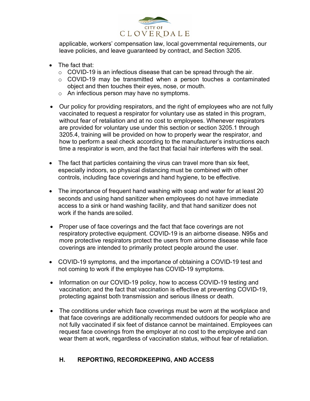

applicable, workers' compensation law, local governmental requirements, our leave policies, and leave guaranteed by contract, and Section 3205.

- The fact that:
	- $\circ$  COVID-19 is an infectious disease that can be spread through the air.
	- o COVID-19 may be transmitted when a person touches a contaminated object and then touches their eyes, nose, or mouth.
	- o An infectious person may have no symptoms.
- Our policy for providing respirators, and the right of employees who are not fully vaccinated to request a respirator for voluntary use as stated in this program, without fear of retaliation and at no cost to employees. Whenever respirators are provided for voluntary use under this section or section 3205.1 through 3205.4, training will be provided on how to properly wear the respirator, and how to perform a seal check according to the manufacturer's instructions each time a respirator is worn, and the fact that facial hair interferes with the seal.
- The fact that particles containing the virus can travel more than six feet, especially indoors, so physical distancing must be combined with other controls, including face coverings and hand hygiene, to be effective.
- The importance of frequent hand washing with soap and water for at least 20 seconds and using hand sanitizer when employees do not have immediate access to a sink or hand washing facility, and that hand sanitizer does not work if the hands are soiled.
- Proper use of face coverings and the fact that face coverings are not respiratory protective equipment. COVID-19 is an airborne disease. N95s and more protective respirators protect the users from airborne disease while face coverings are intended to primarily protect people around the user.
- COVID-19 symptoms, and the importance of obtaining a COVID-19 test and not coming to work if the employee has COVID-19 symptoms.
- Information on our COVID-19 policy, how to access COVID-19 testing and vaccination; and the fact that vaccination is effective at preventing COVID-19, protecting against both transmission and serious illness or death.
- The conditions under which face coverings must be worn at the workplace and that face coverings are additionally recommended outdoors for people who are not fully vaccinated if six feet of distance cannot be maintained. Employees can request face coverings from the employer at no cost to the employee and can wear them at work, regardless of vaccination status, without fear of retaliation.

# **H. REPORTING, RECORDKEEPING, AND ACCESS**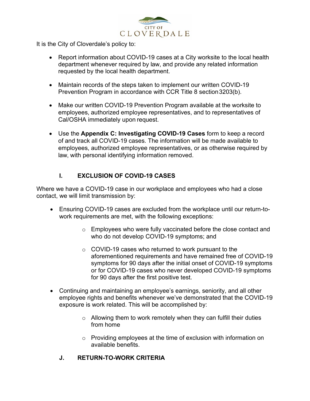

It is the City of Cloverdale's policy to:

- Report information about COVID-19 cases at a City worksite to the local health department whenever required by law, and provide any related information requested by the local health department.
- Maintain records of the steps taken to implement our written COVID-19 Prevention Program in accordance with CCR Title 8 section3203(b).
- Make our written COVID-19 Prevention Program available at the worksite to employees, authorized employee representatives, and to representatives of Cal/OSHA immediately upon request.
- Use the **Appendix C: Investigating COVID-19 Cases** form to keep a record of and track all COVID-19 cases. The information will be made available to employees, authorized employee representatives, or as otherwise required by law, with personal identifying information removed.

# **I. EXCLUSION OF COVID-19 CASES**

Where we have a COVID-19 case in our workplace and employees who had a close contact, we will limit transmission by:

- Ensuring COVID-19 cases are excluded from the workplace until our return-towork requirements are met, with the following exceptions:
	- o Employees who were fully vaccinated before the close contact and who do not develop COVID-19 symptoms; and
	- o COVID-19 cases who returned to work pursuant to the aforementioned requirements and have remained free of COVID-19 symptoms for 90 days after the initial onset of COVID-19 symptoms or for COVID-19 cases who never developed COVID-19 symptoms for 90 days after the first positive test.
- Continuing and maintaining an employee's earnings, seniority, and all other employee rights and benefits whenever we've demonstrated that the COVID-19 exposure is work related. This will be accomplished by:
	- $\circ$  Allowing them to work remotely when they can fulfill their duties from home
	- o Providing employees at the time of exclusion with information on available benefits.
	- **J. RETURN-TO-WORK CRITERIA**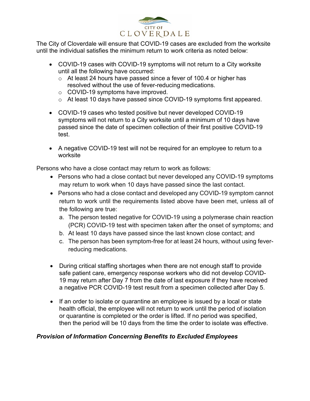

The City of Cloverdale will ensure that COVID-19 cases are excluded from the worksite until the individual satisfies the minimum return to work criteria as noted below:

- COVID-19 cases with COVID-19 symptoms will not return to a City worksite until all the following have occurred:
	- o At least 24 hours have passed since a fever of 100.4 or higher has resolved without the use of fever-reducing medications.
	- o COVID-19 symptoms have improved.
	- o At least 10 days have passed since COVID-19 symptoms first appeared.
- COVID-19 cases who tested positive but never developed COVID-19 symptoms will not return to a City worksite until a minimum of 10 days have passed since the date of specimen collection of their first positive COVID-19 test.
- A negative COVID-19 test will not be required for an employee to return to a worksite

Persons who have a close contact may return to work as follows:

- Persons who had a close contact but never developed any COVID-19 symptoms may return to work when 10 days have passed since the last contact.
- Persons who had a close contact and developed any COVID-19 symptom cannot return to work until the requirements listed above have been met, unless all of the following are true:
	- a. The person tested negative for COVID-19 using a polymerase chain reaction (PCR) COVID-19 test with specimen taken after the onset of symptoms; and
	- b. At least 10 days have passed since the last known close contact; and
	- c. The person has been symptom-free for at least 24 hours, without using feverreducing medications.
- During critical staffing shortages when there are not enough staff to provide safe patient care, emergency response workers who did not develop COVID-19 may return after Day 7 from the date of last exposure if they have received a negative PCR COVID-19 test result from a specimen collected after Day 5.
- If an order to isolate or quarantine an employee is issued by a local or state health official, the employee will not return to work until the period of isolation or quarantine is completed or the order is lifted. If no period was specified, then the period will be 10 days from the time the order to isolate was effective.

## *Provision of Information Concerning Benefits to Excluded Employees*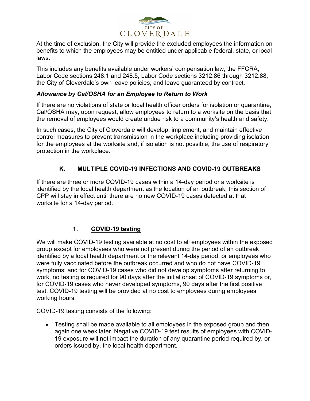

At the time of exclusion, the City will provide the excluded employees the information on benefits to which the employees may be entitled under applicable federal, state, or local laws.

This includes any benefits available under workers' compensation law, the FFCRA, Labor Code sections 248.1 and 248.5, Labor Code sections 3212.86 through 3212.88, the City of Cloverdale's own leave policies, and leave guaranteed by contract.

#### *Allowance by Cal/OSHA for an Employee to Return to Work*

If there are no violations of state or local health officer orders for isolation or quarantine, Cal/OSHA may, upon request, allow employees to return to a worksite on the basis that the removal of employees would create undue risk to a community's health and safety.

In such cases, the City of Cloverdale will develop, implement, and maintain effective control measures to prevent transmission in the workplace including providing isolation for the employees at the worksite and, if isolation is not possible, the use of respiratory protection in the workplace.

## **K. MULTIPLE COVID-19 INFECTIONS AND COVID-19 OUTBREAKS**

If there are three or more COVID-19 cases within a 14-day period or a worksite is identified by the local health department as the location of an outbreak, this section of CPP will stay in effect until there are no new COVID-19 cases detected at that worksite for a 14-day period.

## **1. COVID-19 testing**

We will make COVID-19 testing available at no cost to all employees within the exposed group except for employees who were not present during the period of an outbreak identified by a local health department or the relevant 14-day period, or employees who were fully vaccinated before the outbreak occurred and who do not have COVID-19 symptoms; and for COVID-19 cases who did not develop symptoms after returning to work, no testing is required for 90 days after the initial onset of COVID-19 symptoms or, for COVID-19 cases who never developed symptoms, 90 days after the first positive test. COVID-19 testing will be provided at no cost to employees during employees' working hours.

COVID-19 testing consists of the following:

• Testing shall be made available to all employees in the exposed group and then again one week later. Negative COVID-19 test results of employees with COVID-19 exposure will not impact the duration of any quarantine period required by, or orders issued by, the local health department.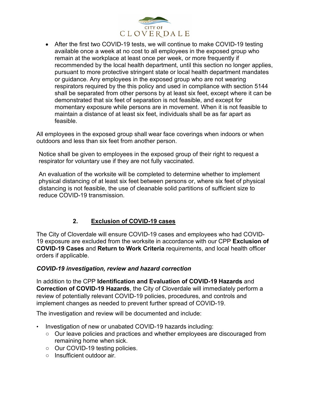

• After the first two COVID-19 tests, we will continue to make COVID-19 testing available once a week at no cost to all employees in the exposed group who remain at the workplace at least once per week, or more frequently if recommended by the local health department, until this section no longer applies, pursuant to more protective stringent state or local health department mandates or guidance. Any employees in the exposed group who are not wearing respirators required by the this policy and used in compliance with section 5144 shall be separated from other persons by at least six feet, except where it can be demonstrated that six feet of separation is not feasible, and except for momentary exposure while persons are in movement. When it is not feasible to maintain a distance of at least six feet, individuals shall be as far apart as feasible.

All employees in the exposed group shall wear face coverings when indoors or when outdoors and less than six feet from another person.

Notice shall be given to employees in the exposed group of their right to request a respirator for voluntary use if they are not fully vaccinated.

An evaluation of the worksite will be completed to determine whether to implement physical distancing of at least six feet between persons or, where six feet of physical distancing is not feasible, the use of cleanable solid partitions of sufficient size to reduce COVID-19 transmission.

# **2. Exclusion of COVID-19 cases**

The City of Cloverdale will ensure COVID-19 cases and employees who had COVID-19 exposure are excluded from the worksite in accordance with our CPP **Exclusion of COVID-19 Cases** and **Return to Work Criteria** requirements, and local health officer orders if applicable.

#### *COVID-19 investigation, review and hazard correction*

In addition to the CPP **Identification and Evaluation of COVID-19 Hazards** and **Correction of COVID-19 Hazards**, the City of Cloverdale will immediately perform a review of potentially relevant COVID-19 policies, procedures, and controls and implement changes as needed to prevent further spread of COVID-19.

The investigation and review will be documented and include:

- Investigation of new or unabated COVID-19 hazards including:
	- Our leave policies and practices and whether employees are discouraged from remaining home when sick.
	- Our COVID-19 testing policies.
	- Insufficient outdoor air.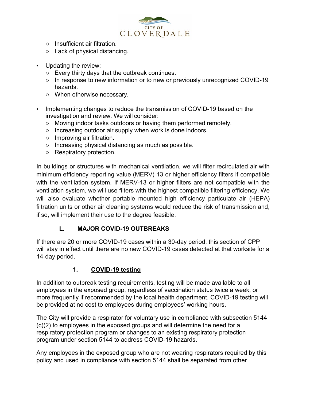

- Insufficient air filtration.
- Lack of physical distancing.
- Updating the review:
	- Every thirty days that the outbreak continues.
	- In response to new information or to new or previously unrecognized COVID-19 hazards.
	- When otherwise necessary.
- Implementing changes to reduce the transmission of COVID-19 based on the investigation and review. We will consider:
	- Moving indoor tasks outdoors or having them performed remotely.
	- Increasing outdoor air supply when work is done indoors.
	- Improving air filtration.
	- Increasing physical distancing as much as possible.
	- Respiratory protection.

In buildings or structures with mechanical ventilation, we will filter recirculated air with minimum efficiency reporting value (MERV) 13 or higher efficiency filters if compatible with the ventilation system. If MERV-13 or higher filters are not compatible with the ventilation system, we will use filters with the highest compatible filtering efficiency. We will also evaluate whether portable mounted high efficiency particulate air (HEPA) filtration units or other air cleaning systems would reduce the risk of transmission and, if so, will implement their use to the degree feasible.

# **L. MAJOR COVID-19 OUTBREAKS**

If there are 20 or more COVID-19 cases within a 30-day period, this section of CPP will stay in effect until there are no new COVID-19 cases detected at that worksite for a 14-day period.

## **1. COVID-19 testing**

In addition to outbreak testing requirements, testing will be made available to all employees in the exposed group, regardless of vaccination status twice a week, or more frequently if recommended by the local health department. COVID-19 testing will be provided at no cost to employees during employees' working hours.

The City will provide a respirator for voluntary use in compliance with subsection 5144 (c)(2) to employees in the exposed groups and will determine the need for a respiratory protection program or changes to an existing respiratory protection program under section 5144 to address COVID-19 hazards.

Any employees in the exposed group who are not wearing respirators required by this policy and used in compliance with section 5144 shall be separated from other